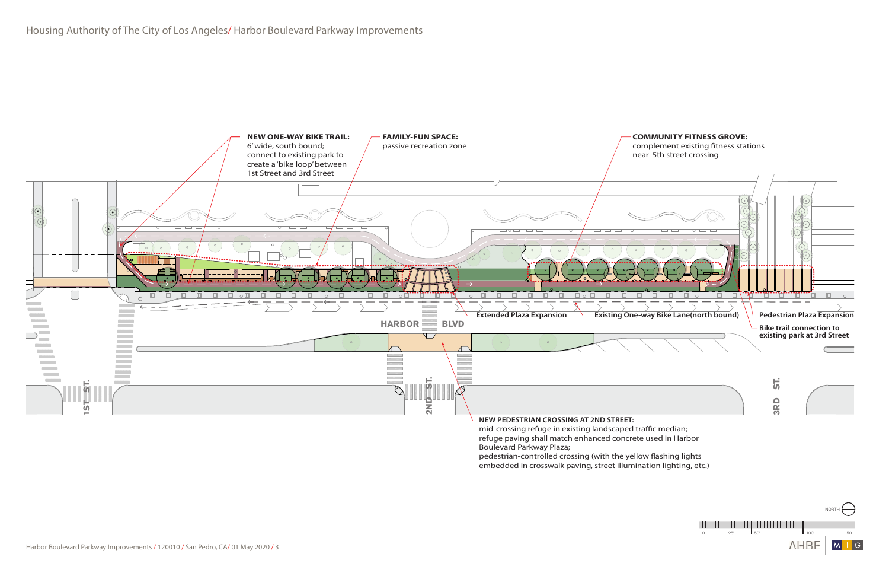

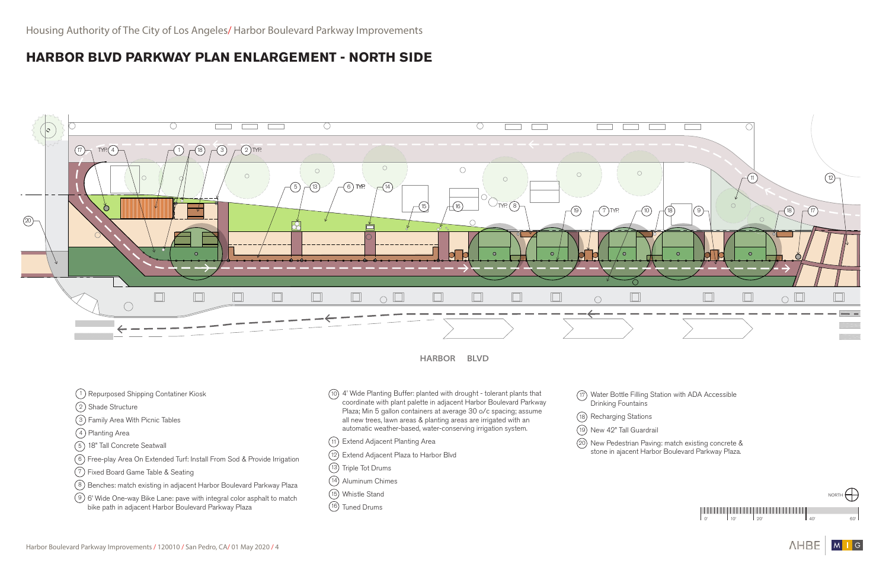

**HARBOR BLVD** 



- 1) Repurposed Shipping Contatiner Kiosk
- 2) Shade Structure
- 3 ) Family Area With Picnic Tables
- 4) Planting Area
- 18" Tall Concrete Seatwall 5
- 6) Free-play Area On Extended Turf: Install From Sod & Provide Irrigation
- 7 ) Fixed Board Game Table & Seating
- <sup>8</sup>) Benches: match existing in adjacent Harbor Boulevard Parkway Plaza
- $9)$  6' Wide One-way Bike Lane: pave with integral color asphalt to match bike path in adjacent Harbor Boulevard Parkway Plaza
- 4' Wide Planting Buffer: planted with drought tolerant plants that 10 coordinate with plant palette in adjacent Harbor Boulevard Parkway Plaza; Min 5 gallon containers at average 30 o/c spacing; assume all new trees, lawn areas & planting areas are irrigated with an automatic weather-based, water-conserving irrigation system.
- Extend Adjacent Planting Area 11
- 12) Extend Adjacent Plaza to Harbor Blvd
- 13) Triple Tot Drums
- 14) Aluminum Chimes
- Whistle Stand 15
- 16) Tuned Drums
- Drinking Fountains
- 18) Recharging Stations
- 19) New 42" Tall Guardrail
- 

20) New Pedestrian Paving: match existing concrete & stone in ajacent Harbor Boulevard Parkway Plaza.

Water Bottle Filling Station with ADA Accessible 17

## **HARBOR BLVD PARKWAY PLAN ENLARGEMENT - NORTH SIDE**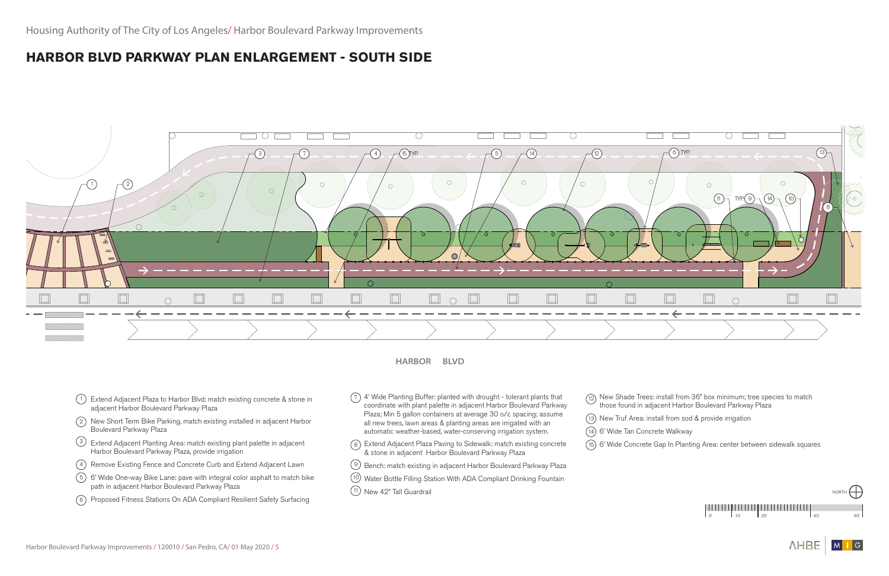

 $\bigwedge \vdash \Box \sqsubseteq$ 

 $|M|$ 



**HARBOR BLVD** 

- <sup>1</sup>) Extend Adjacent Plaza to Harbor Blvd: match existing concrete & stone in adjacent Harbor Boulevard Parkway Plaza
- 2) New Short Term Bike Parking, match existing installed in adjacent Harbor Boulevard Parkway Plaza
- $\frac{3}{2}$  Extend Adjacent Planting Area: match existing plant palette in adjacent Harbor Boulevard Parkway Plaza, provide irrigation
- 4) Remove Existing Fence and Concrete Curb and Extend Adjacent Lawn
- <sup>5</sup>) 6' Wide One-way Bike Lane: pave with integral color asphalt to match bike path in adjacent Harbor Boulevard Parkway Plaza
- 6) Proposed Fitness Stations On ADA Compliant Resilient Safety Surfacing
- $(7)$  4' Wide Planting Buffer: planted with drought tolerant plants that coordinate with plant palette in adjacent Harbor Boulevard Parkway Plaza; Min 5 gallon containers at average 30 o/c spacing; assume all new trees, lawn areas & planting areas are irrigated with an automatic weather-based, water-conserving irrigation system.
- $\tau)$  4' Wide Planting Buffer: planted with drought tolerant plants that  $\qquad\qquad$  (12) New Shade Trees: install from 36" box minimum; tree species to match those found in adjacent Harbor Boulevard Parkway Plaza
	- 13) New Truf Area: install from sod & provide irrigation
	- 6' Wide Tan Concrete Walkway 14
	-
- 8) Extend Adjacent Plaza Paving to Sidewalk: match existing concrete (15) 6' Wide Concrete Gap In Planting Area: center between sidewalk squares & stone in adjacent Harbor Boulevard Parkway Plaza
- $9)$  Bench: match existing in adjacent Harbor Boulevard Parkway Plaza
- <sup>10</sup>) Water Bottle Filling Station With ADA Compliant Drinking Fountain
- $11$ ) New 42" Tall Guardrail
- 
- 

## **HARBOR BLVD PARKWAY PLAN ENLARGEMENT - SOUTH SIDE**